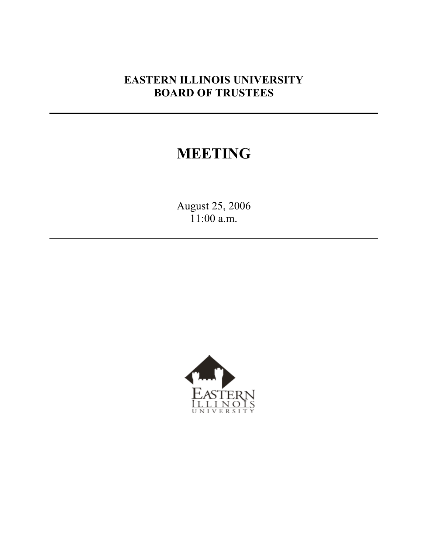# **EASTERN ILLINOIS UNIVERSITY BOARD OF TRUSTEES**

# **MEETING**

August 25, 2006 11:00 a.m.

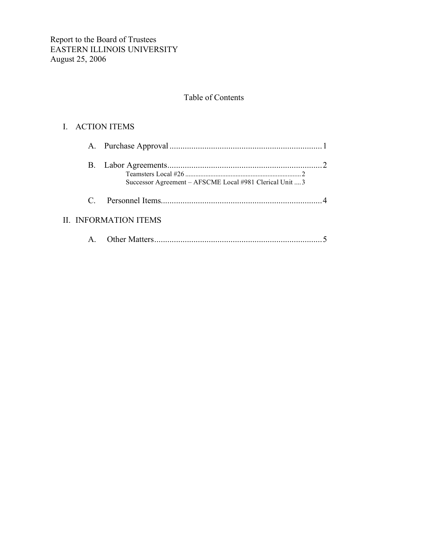## Table of Contents

## I. ACTION ITEMS

|                  | Successor Agreement – AFSCME Local #981 Clerical Unit  3 |  |
|------------------|----------------------------------------------------------|--|
| $C_{\mathbb{Z}}$ |                                                          |  |
|                  | <b>II. INFORMATION ITEMS</b>                             |  |
|                  |                                                          |  |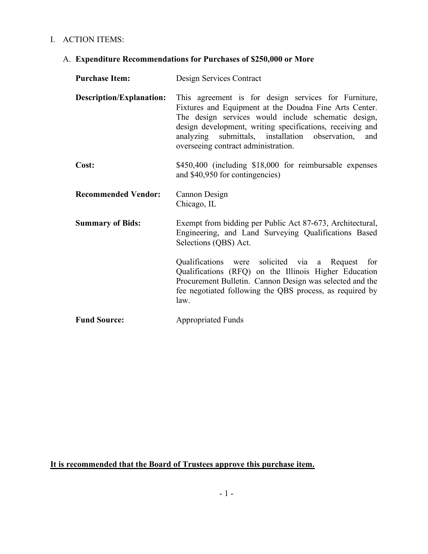## I. ACTION ITEMS:

# A. **Expenditure Recommendations for Purchases of \$250,000 or More**

| <b>Purchase Item:</b>           | Design Services Contract                                                                                                                                                                                                                                                                                                         |
|---------------------------------|----------------------------------------------------------------------------------------------------------------------------------------------------------------------------------------------------------------------------------------------------------------------------------------------------------------------------------|
| <b>Description/Explanation:</b> | This agreement is for design services for Furniture,<br>Fixtures and Equipment at the Doudna Fine Arts Center.<br>The design services would include schematic design,<br>design development, writing specifications, receiving and<br>analyzing submittals, installation observation, and<br>overseeing contract administration. |
| Cost:                           | \$450,400 (including \$18,000 for reimbursable expenses<br>and \$40,950 for contingencies)                                                                                                                                                                                                                                       |
| <b>Recommended Vendor:</b>      | Cannon Design<br>Chicago, IL                                                                                                                                                                                                                                                                                                     |
| <b>Summary of Bids:</b>         | Exempt from bidding per Public Act 87-673, Architectural,<br>Engineering, and Land Surveying Qualifications Based<br>Selections (QBS) Act.                                                                                                                                                                                       |
|                                 | Qualifications were solicited via a Request<br>for<br>Qualifications (RFQ) on the Illinois Higher Education<br>Procurement Bulletin. Cannon Design was selected and the<br>fee negotiated following the QBS process, as required by<br>law.                                                                                      |
| <b>Fund Source:</b>             | <b>Appropriated Funds</b>                                                                                                                                                                                                                                                                                                        |

**It is recommended that the Board of Trustees approve this purchase item.**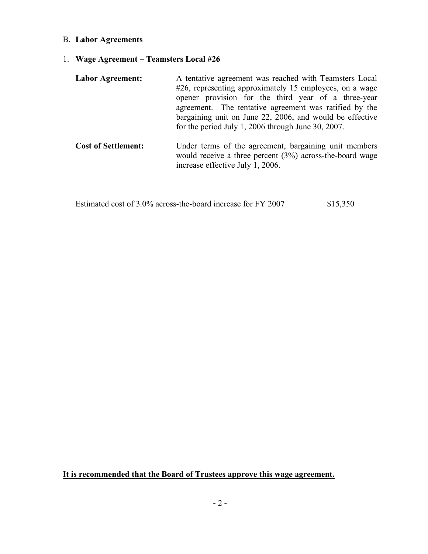#### B. **Labor Agreements**

1. **Wage Agreement – Teamsters Local #26**

| Labor Agreement: | A tentative agreement was reached with Teamsters Local   |
|------------------|----------------------------------------------------------|
|                  | #26, representing approximately 15 employees, on a wage  |
|                  | opener provision for the third year of a three-year      |
|                  | agreement. The tentative agreement was ratified by the   |
|                  | bargaining unit on June 22, 2006, and would be effective |
|                  | for the period July 1, 2006 through June 30, 2007.       |
|                  |                                                          |

**Cost of Settlement:** Under terms of the agreement, bargaining unit members would receive a three percent  $(3%)$  across-the-board wage increase effective July 1, 2006.

Estimated cost of 3.0% across-the-board increase for FY 2007 \$15,350

**It is recommended that the Board of Trustees approve this wage agreement.**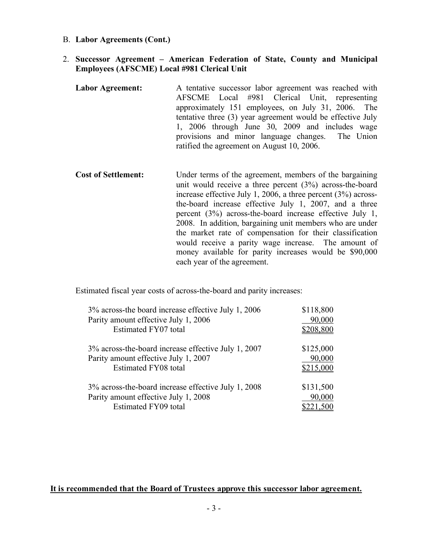B. **Labor Agreements (Cont.)**

#### 2. **Successor Agreement – American Federation of State, County and Municipal Employees (AFSCME) Local #981 Clerical Unit**

- **Labor Agreement:** A tentative successor labor agreement was reached with AFSCME Local #981 Clerical Unit, representing approximately 151 employees, on July 31, 2006. The tentative three (3) year agreement would be effective July 1, 2006 through June 30, 2009 and includes wage provisions and minor language changes. The Union ratified the agreement on August 10, 2006.
- **Cost of Settlement:** Under terms of the agreement, members of the bargaining unit would receive a three percent (3%) across-the-board increase effective July 1, 2006, a three percent (3%) acrossthe-board increase effective July 1, 2007, and a three percent (3%) across-the-board increase effective July 1, 2008. In addition, bargaining unit members who are under the market rate of compensation for their classification would receive a parity wage increase. The amount of money available for parity increases would be \$90,000 each year of the agreement.

Estimated fiscal year costs of across-the-board and parity increases:

| 3% across-the board increase effective July 1, 2006 | \$118,800 |  |
|-----------------------------------------------------|-----------|--|
| Parity amount effective July 1, 2006                | 90,000    |  |
| Estimated FY07 total                                | \$208,800 |  |
| 3% across-the-board increase effective July 1, 2007 | \$125,000 |  |
| Parity amount effective July 1, 2007                | 90,000    |  |
| Estimated FY08 total                                | \$215,000 |  |
| 3% across-the-board increase effective July 1, 2008 | \$131,500 |  |
| Parity amount effective July 1, 2008                | 90,000    |  |
| <b>Estimated FY09 total</b>                         | \$221,500 |  |

#### **It is recommended that the Board of Trustees approve this successor labor agreement.**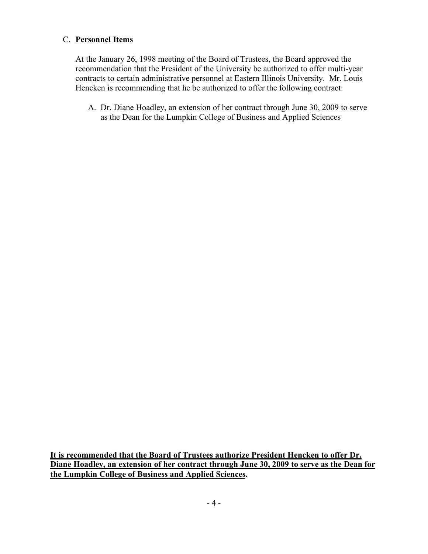### C. **Personnel Items**

At the January 26, 1998 meeting of the Board of Trustees, the Board approved the recommendation that the President of the University be authorized to offer multi-year contracts to certain administrative personnel at Eastern Illinois University. Mr. Louis Hencken is recommending that he be authorized to offer the following contract:

A. Dr. Diane Hoadley, an extension of her contract through June 30, 2009 to serve as the Dean for the Lumpkin College of Business and Applied Sciences

**It is recommended that the Board of Trustees authorize President Hencken to offer Dr. Diane Hoadley, an extension of her contract through June 30, 2009 to serve as the Dean for the Lumpkin College of Business and Applied Sciences.**